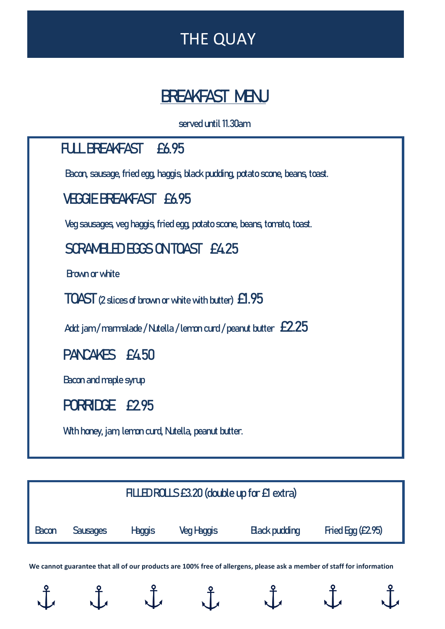# THE QUAY

# **BREAKFAST MENU**

 **served until 11.30am**

# **FULL BREAKFAST £6.95** Bacon, sausage, fried egg, haggis, black pudding, potato scone, beans, toast.  **VEGGIE BREAKFAST £6.95** Veg sausages, veg haggis, fried egg, potato scone, beans, tomato, toast**. SCRAMBLED EGGS ON TOAST £4.25** Brown or white  **TOAST** (2 slices of brown or white with butter)  $\boldsymbol{\pounds}$ **1.95** 5Add: jam / marmalade / Nutella / lemon curd / peanut butter **£2.25 PANCAKES £4.50** Bacon and maplesyrup  **PORRIDGE £2.95 With honey, jam, lemon curd, Nutella, peanut butter.**



**We cannot guarantee that all of our products are 100% free of allergens, please ask a member of staff for information**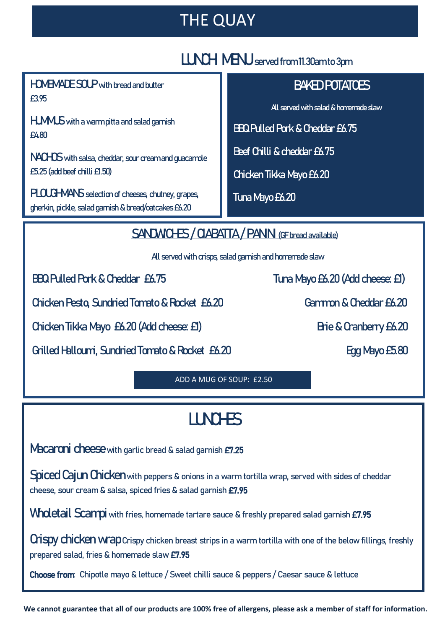### THE QUAY

#### **LUNCH MENUserved from 11.30am to 3pm**

 **HOMEMADESOUPwith bread and butter £3.95** 

**Light Basic committee order of the property Homemade Soup with bread and butter HUMMUSwith a warm pitta and salad garnish £4.80** 

**NACHOS** with salsa, cheddar, sour cream and guacamole **£5.25(add beef chilli £1.50)**

**Nachos with salsa, cheddar, sour cream and guacamole £ PLOUGHMANSselection of cheeses, chutney, grapes, gherkin, pickle, salad garnish & bread/oatcakes£6.20**

#### **BAKED POTATOES**

 **All served with salad & homemade slaw**

**BBQ Pulled Pork & Cheddar£6.75**

**Beef Chilli & cheddar £6.75** 

**Chicken Tikka Mayo£6.20** 

**Tuna Mayo £6.20**

**SANDWICHES / CIABATTA / PANIN** (GE bread available)

 **All served with crisps, salad garnish and homemade slaw** 

Ĩ

 **Chicken Pesto, Sundried Tomato &Rocket £6.20 Gammon & Cheddar £6.20** 

**Chicken Tikka Mayo £6.20 (Add cheese: £1)** Brie & Cranberry £6.20

**Grilled Halloumi, Sundried Tomato & Rocket £6.20 Egg Mayo £5.80** 

 **BBQ Pulled Pork & Cheddar £6.75 Tuna Mayo £6.20 (Add cheese: £1)**

ADD A MUG OF SOUP: £2.50

# **LUNCHES**

**Macaroni cheese**with garlic bread & salad garnish £7.25

**Spiced Cajun Chicken**with peppers & onions in a warm tortilla wrap, served with sides of cheddar cheese, sour cream & salsa, spiced fries & salad garnish £7.95

Wholetail Scampi with fries, homemade tartare sauce & freshly prepared salad garnish £7.95

**Crispy chicken wrap**Crispy chicken breast strips in a warm tortilla with one of the below fillings, freshly prepared salad, fries & homemade slaw £7.95

Choose from: Chipotle mayo & lettuce / Sweet chilli sauce & peppers / Caesar sauce & lettuce

**We cannot guarantee that all of our products are 100% free of allergens, please ask a member of staff for information.**